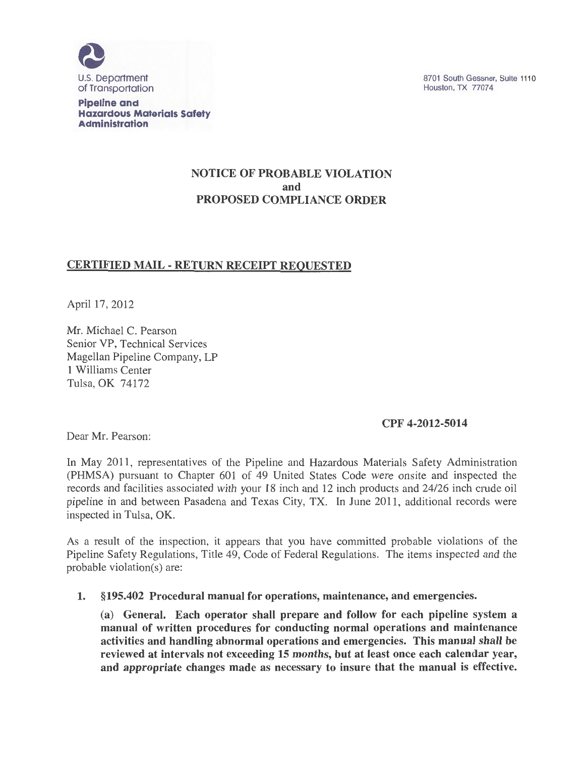

**Pipeline and Hazardous Materials Safety Administration** 

8701 South Gessner, Suite 1110 Houston, TX 77074

## NOTICE OF PROBABLE VIOLATION and PROPOSED COMPLIANCE ORDER

# CERTIFIED MAIL -RETURN RECEIPT REQUESTED

April 17, 2012

Mr. Michael C. Pearson Senior VP, Technical Services Magellan Pipeline Company, LP 1 Williams Center Tulsa, OK 74172

### CPF 4-2012-5014

Dear Mr. Pearson:

In May 2011, representatives of the Pipeline and Hazardous Materials Safety Administration (PHMSA) pursuant to Chapter 601 of 49 United States Code were onsite and inspected the records and facilities associated with your 18 inch and 12 inch products and 24/26 inch crude oil pipeline in and between Pasadena and Texas City, TX. In June 2011, additional records were inspected in Tulsa, OK.

As a result of the inspection, it appears that you have committed probable violations of the Pipeline Safety Regulations, Title 49, Code of Federal Regulations. The items inspected and the probable violation(s) are:

1. § 195.402 Procedural manual for operations, maintenance, and emergencies.

(a) General. Each operator shall prepare and follow for each pipeline system a manual of written procedures for conducting normal operations and maintenance activities and handling abnormal operations and emergencies. This manual shall be reviewed at intervals not exceeding 15 months, but at least once each calendar year, and appropriate changes made as necessary to insure that the manual is effective.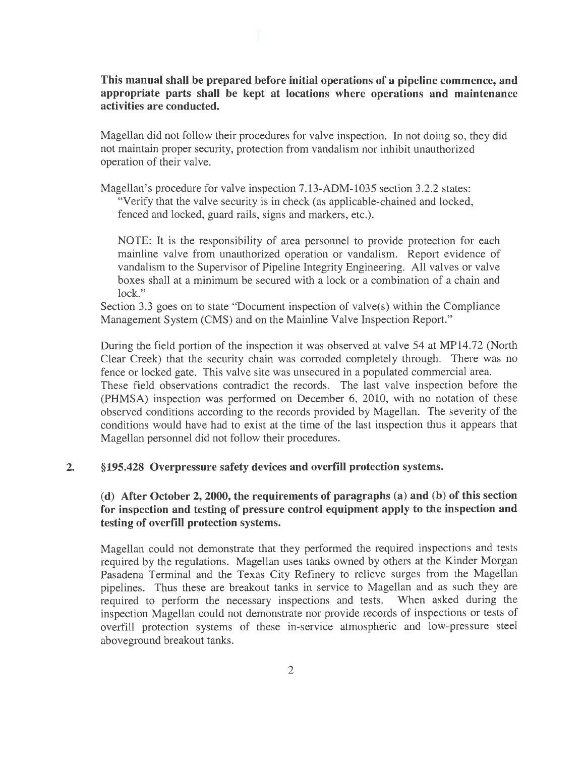**This manual shall be prepared before initial operations of a pipeline commence, and appropriate parts shall be kept at locations where operations and maintenance activities are conducted.** 

Magellan did not follow their procedures for valve inspection. In not doing so, they did not maintain proper security, protection from vandalism nor inhibit unauthorized operation of their valve.

Magellan's procedure for valve inspection 7.13-ADM-1035 section 3.2.2 states: "Verify that the valve security is in check (as applicable-chained and locked, fenced and locked, guard rails, signs and markers, etc.).

NOTE: It is the responsibility of area personnel to provide protection for each mainline valve from unauthorized operation or vandalism. Report evidence of vandalism to the Supervisor of Pipeline Integrity Engineering. All valves or valve boxes shall at a minimum be secured with a lock or a combination of a chain and lock."

Section 3.3 goes on to state "Document inspection of valve(s) within the Compliance Management System (CMS) and on the Mainline Valve Inspection Report."

During the field portion of the inspection it was observed at valve 54 at MP14.72 (North Clear Creek) that the security chain was corroded completely through. There was no fence or locked gate. This valve site was unsecured in a populated commercial area.

These field observations contradict the records. The last valve inspection before the (PHMSA) inspection was performed on December 6, 2010, with no notation of these observed conditions according to the records provided by Magellan. The severity of the conditions would have had to exist at the time of the last inspection thus it appears that Magellan personnel did not follow their procedures.

#### **2. § 195.428 Overpressure safety devices and overfill protection systems.**

## **(d) After October 2, 2000, the requirements of paragraphs (a) and (b) of this section for inspection and testing of pressure control equipment apply to the inspection and testing of overfill protection systems.**

Magellan could not demonstrate that they performed the required inspections and tests required by the regulations. Magellan uses tanks owned by others at the Kinder Morgan Pasadena Terminal and the Texas City Refinery to relieve surges from the Magellan pipelines. Thus these are breakout tanks in service to Magellan and as such they are required to perform the necessary inspections and tests. When asked during the inspection Magellan could not demonstrate nor provide records of inspections or tests of overfill protection systems of these in-service atmospheric and low-pressure steel aboveground breakout tanks.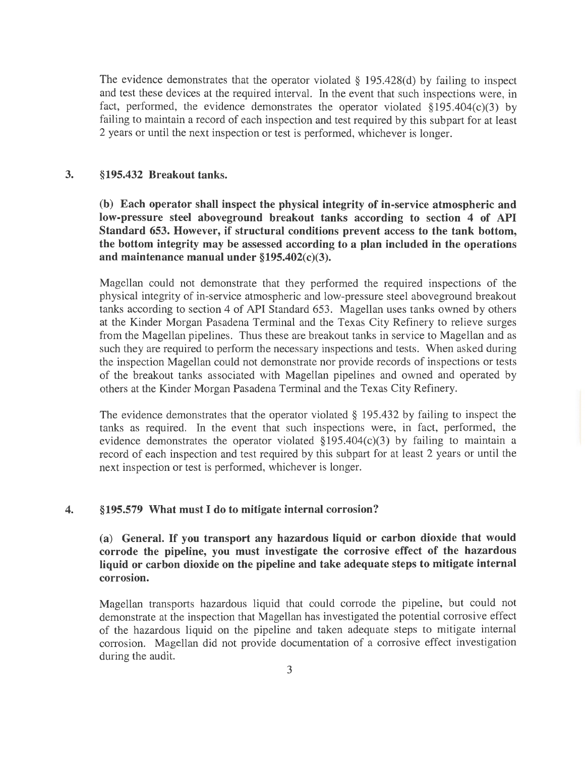The evidence demonstrates that the operator violated § 195.428(d) by failing to inspect and test these devices at the required interval. In the event that such inspections were, in fact, performed, the evidence demonstrates the operator violated  $\S 195.404(c)(3)$  by failing to maintain a record of each inspection and test required by this subpart for at least 2 years or until the next inspection or test is performed, whichever is longer.

## 3. §195.432 Breakout tanks.

(b) Each operator shall inspect the physical integrity of in-service atmospheric and low-pressure steel aboveground breakout tanks according to section 4 of API Standard 653. However, if structural conditions prevent access to the tank bottom, the bottom integrity may be assessed according to a plan included in the operations and maintenance manual under  $$195.402(c)(3)$ .

Magellan could not demonstrate that they performed the required inspections of the physical integrity of in-service atmospheric and low-pressure steel aboveground breakout tanks according to section 4 of API Standard 653. Magellan uses tanks owned by others at the Kinder Morgan Pasadena Terminal and the Texas City Refinery to relieve surges from the Magellan pipelines. Thus these are breakout tanks in service to Magellan and as such they are required to perform the necessary inspections and tests. When asked during the inspection Magellan could not demonstrate nor provide records of inspections or tests of the breakout tanks associated with Magellan pipelines and owned and operated by others at the Kinder Morgan Pasadena Terminal and the Texas City Refinery.

The evidence demonstrates that the operator violated § 195.432 by failing to inspect the tanks as required. In the event that such inspections were, in fact, performed, the evidence demonstrates the operator violated  $\S 195.404(c)(3)$  by failing to maintain a record of each inspection and test required by this subpart for at least 2 years or until the next inspection or test is performed, whichever is longer.

### 4. § 195.579 What must I do to mitigate internal corrosion?

(a) General. If you transport any hazardous liquid or carbon dioxide that would corrode the pipeline, you must investigate the corrosive effect of the hazardous liquid or carbon dioxide on the pipeline and take adequate steps to mitigate internal corrosion.

Magellan transports hazardous liquid that could corrode the pipeline, but could not demonstrate at the inspection that Magellan has investigated the potential corrosive effect of the hazardous liquid on the pipeline and taken adequate steps to mitigate internal corrosion. Magellan did not provide documentation of a corrosive effect investigation during the audit.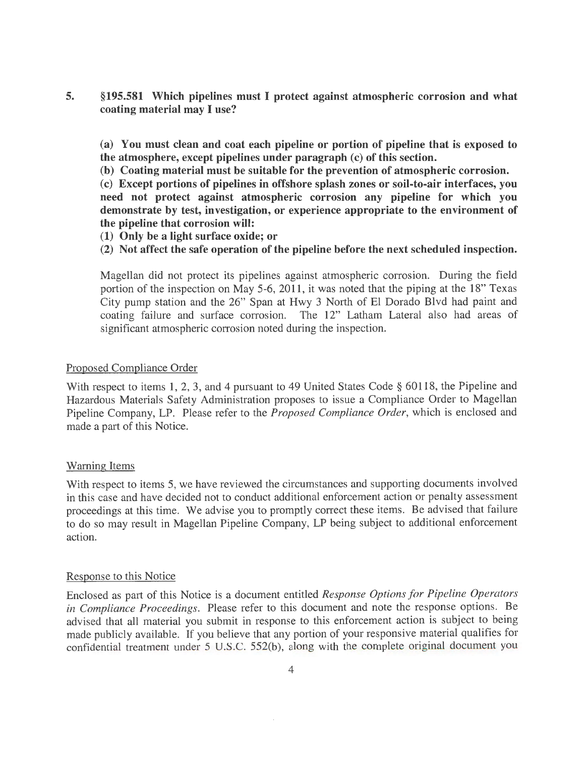**5. §195.581 Which pipelines must I protect against atmospheric corrosion and what coating material may I use?** 

**(a) You must clean and coat each pipeline or portion of pipeline that is exposed to the atmosphere, except pipelines under paragraph (c) of this section.** 

**(b) Coating material must be suitable for the prevention of atmospheric corrosion.** 

(c) **Except portions of pipelines in offshore splash zones or soil-to-air interfaces, you need not protect against atmospheric corrosion any pipeline for which you demonstrate by test, investigation, or experience appropriate to the environment of the pipeline that corrosion will:** 

**(1) Only be a light surface oxide; or** 

**(2) Not affect the safe operation of the pipeline before the next scheduled inspection.** 

Magellan did not protect its pipelines against atmospheric corrosion. During the field portion of the inspection on May 5-6, 2011, it was noted that the piping at the 18" Texas City pump station and the 26" Span at Hwy 3 North of El Dorado Blvd had paint and coating failure and surface corrosion. The 12" Latham Lateral also had areas of significant atmospheric corrosion noted during the inspection.

#### Proposed Compliance Order

With respect to items 1, 2, 3, and 4 pursuant to 49 United States Code § 60118, the Pipeline and Hazardous Materials Safety Administration proposes to issue a Compliance Order to Magellan Pipeline Company, LP. Please refer to the *Proposed Compliance Order,* which is enclosed and made a part of this Notice.

### Warning Items

With respect to items 5, we have reviewed the circumstances and supporting documents involved in this case and have decided not to conduct additional enforcement action or penalty assessment proceedings at this time. We advise you to promptly correct these items. Be advised that failure to do so may result in Magellan Pipeline Company, LP being subject to additional enforcement action.

#### Response to this Notice

Enclosed as part of this Notice is a document entitled *Response Options for Pipeline Operators in Compliance Proceedings.* Please refer to this document and note the response options. Be advised that all material you submit in response to this enforcement action is subject to being made publicly available. If you believe that any portion of your responsive material qualifies for confidential treatment under 5 U.S.C. 552(b), along with the complete original document you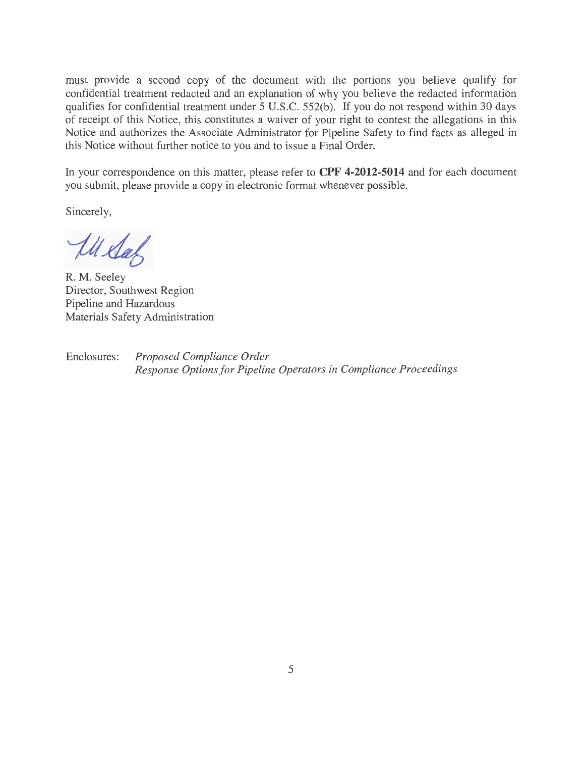must provide a second copy of the document with the portions you believe qualify for confidential treatment redacted and an explanation of why you believe the redacted information qualifies for confidential treatment under 5 U.S.C. 552(b). If you do not respond within 30 days of receipt of this Notice, this constitutes a waiver of your right to contest the allegations in this Notice and authorizes the Associate Administrator for Pipeline Safety to find facts as alleged in this Notice without further notice to you and to issue a Final Order.

In your correspondence on this matter, please refer to **CPF 4-2012-5014** and for each document you submit, please provide a copy in electronic format whenever possible.

Sincerely,

Ill Stal

R. M. Seeley Director, Southwest Region Pipeline and Hazardous Materials Safety Administration

Enclosures: *Proposed Compliance Order Response Options for Pipeline Operators in Compliance Proceedings*